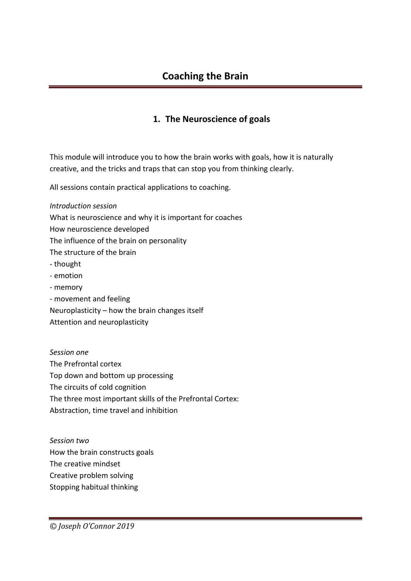## **1. The Neuroscience of goals**

This module will introduce you to how the brain works with goals, how it is naturally creative, and the tricks and traps that can stop you from thinking clearly.

All sessions contain practical applications to coaching.

*Introduction session* What is neuroscience and why it is important for coaches How neuroscience developed The influence of the brain on personality The structure of the brain - thought - emotion - memory - movement and feeling Neuroplasticity – how the brain changes itself Attention and neuroplasticity

*Session one* The Prefrontal cortex Top down and bottom up processing The circuits of cold cognition The three most important skills of the Prefrontal Cortex: Abstraction, time travel and inhibition

*Session two* How the brain constructs goals The creative mindset Creative problem solving Stopping habitual thinking